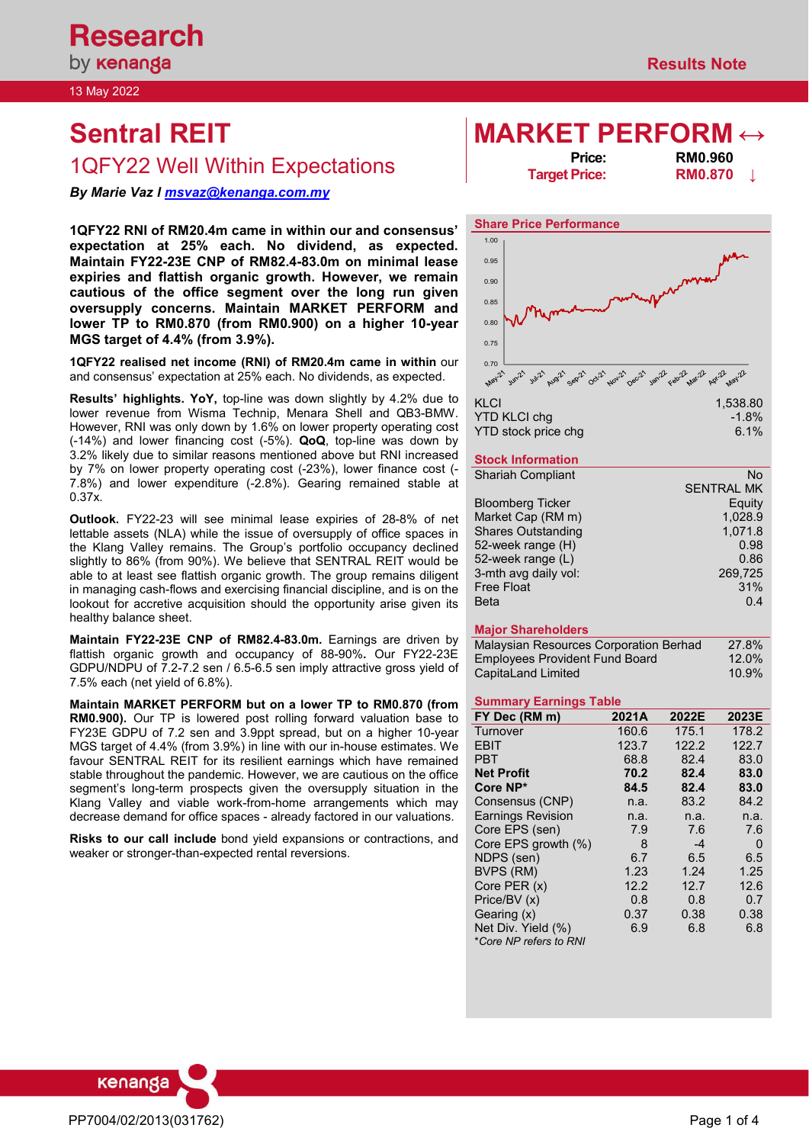13 May 2022

# **Sentral REIT MARKET PERFORM** ↔<br> **MARKET PERFORM** ←

## 1QFY22 Well Within Expectations **Price: Price: RM0.960**<br>**RM0.870**

*By Marie Vaz l [msvaz@kenanga.com.my](mailto:msvaz@kenanga.com.my)*

**1QFY22 RNI of RM20.4m came in within our and consensus' expectation at 25% each. No dividend, as expected. Maintain FY22-23E CNP of RM82.4-83.0m on minimal lease expiries and flattish organic growth. However, we remain cautious of the office segment over the long run given oversupply concerns. Maintain MARKET PERFORM and lower TP to RM0.870 (from RM0.900) on a higher 10-year MGS target of 4.4% (from 3.9%).** 

**1QFY22 realised net income (RNI) of RM20.4m came in within** our and consensus' expectation at 25% each. No dividends, as expected.

**Results' highlights. YoY,** top-line was down slightly by 4.2% due to lower revenue from Wisma Technip, Menara Shell and QB3-BMW. However, RNI was only down by 1.6% on lower property operating cost (-14%) and lower financing cost (-5%). **QoQ**, top-line was down by 3.2% likely due to similar reasons mentioned above but RNI increased by 7% on lower property operating cost (-23%), lower finance cost (- 7.8%) and lower expenditure (-2.8%). Gearing remained stable at 0.37x.

**Outlook.** FY22-23 will see minimal lease expiries of 28-8% of net lettable assets (NLA) while the issue of oversupply of office spaces in the Klang Valley remains. The Group's portfolio occupancy declined slightly to 86% (from 90%). We believe that SENTRAL REIT would be able to at least see flattish organic growth. The group remains diligent in managing cash-flows and exercising financial discipline, and is on the lookout for accretive acquisition should the opportunity arise given its healthy balance sheet.

**Maintain FY22-23E CNP of RM82.4-83.0m.** Earnings are driven by flattish organic growth and occupancy of 88-90%**.** Our FY22-23E GDPU/NDPU of 7.2-7.2 sen / 6.5-6.5 sen imply attractive gross yield of 7.5% each (net yield of 6.8%).

**Maintain MARKET PERFORM but on a lower TP to RM0.870 (from RM0.900).** Our TP is lowered post rolling forward valuation base to FY23E GDPU of 7.2 sen and 3.9ppt spread, but on a higher 10-year MGS target of 4.4% (from 3.9%) in line with our in-house estimates. We favour SENTRAL REIT for its resilient earnings which have remained stable throughout the pandemic. However, we are cautious on the office segment's long-term prospects given the oversupply situation in the Klang Valley and viable work-from-home arrangements which may decrease demand for office spaces - already factored in our valuations.

**Risks to our call include** bond yield expansions or contractions, and weaker or stronger-than-expected rental reversions.

**Target Price: RM0.870 ↓**



| KLCI                | 1.538.80 |
|---------------------|----------|
| YTD KLCI cha        | $-1.8\%$ |
| YTD stock price chg | $6.1\%$  |

## **Stock Information**

| <b>Shariah Compliant</b>  | No                |
|---------------------------|-------------------|
|                           | <b>SENTRAL MK</b> |
| <b>Bloomberg Ticker</b>   | Equity            |
| Market Cap (RM m)         | 1,028.9           |
| <b>Shares Outstanding</b> | 1,071.8           |
| 52-week range (H)         | 0.98              |
| 52-week range (L)         | 0.86              |
| 3-mth avg daily vol:      | 269,725           |
| <b>Free Float</b>         | 31%               |
| Beta                      | 0.4               |

## **Major Shareholders**

| Malaysian Resources Corporation Berhad | 27.8% |
|----------------------------------------|-------|
| Employees Provident Fund Board         | 12.0% |
| CapitaLand Limited                     | 10.9% |

## **Summary Earnings Table**

| FY Dec (RM m)            | 2021A | 2022E | 2023E |
|--------------------------|-------|-------|-------|
| Turnover                 | 160.6 | 175.1 | 178.2 |
| <b>EBIT</b>              | 123.7 | 122.2 | 122.7 |
| <b>PBT</b>               | 68.8  | 82.4  | 83.0  |
| <b>Net Profit</b>        | 70.2  | 82.4  | 83.0  |
| Core NP*                 | 84.5  | 82.4  | 83.0  |
| Consensus (CNP)          | n.a.  | 83.2  | 84.2  |
| <b>Earnings Revision</b> | n.a.  | n.a.  | n.a.  |
| Core EPS (sen)           | 7.9   | 7.6   | 7.6   |
| Core EPS growth (%)      | 8     | $-4$  | 0     |
| NDPS (sen)               | 6.7   | 6.5   | 6.5   |
| BVPS (RM)                | 1.23  | 1.24  | 1.25  |
| Core PER (x)             | 12.2  | 12.7  | 12.6  |
| Price/BV (x)             | 0.8   | 0.8   | 0.7   |
| Gearing (x)              | 0.37  | 0.38  | 0.38  |
| Net Div. Yield (%)       | 6.9   | 6.8   | 6.8   |
| *Core NP refers to RNI   |       |       |       |

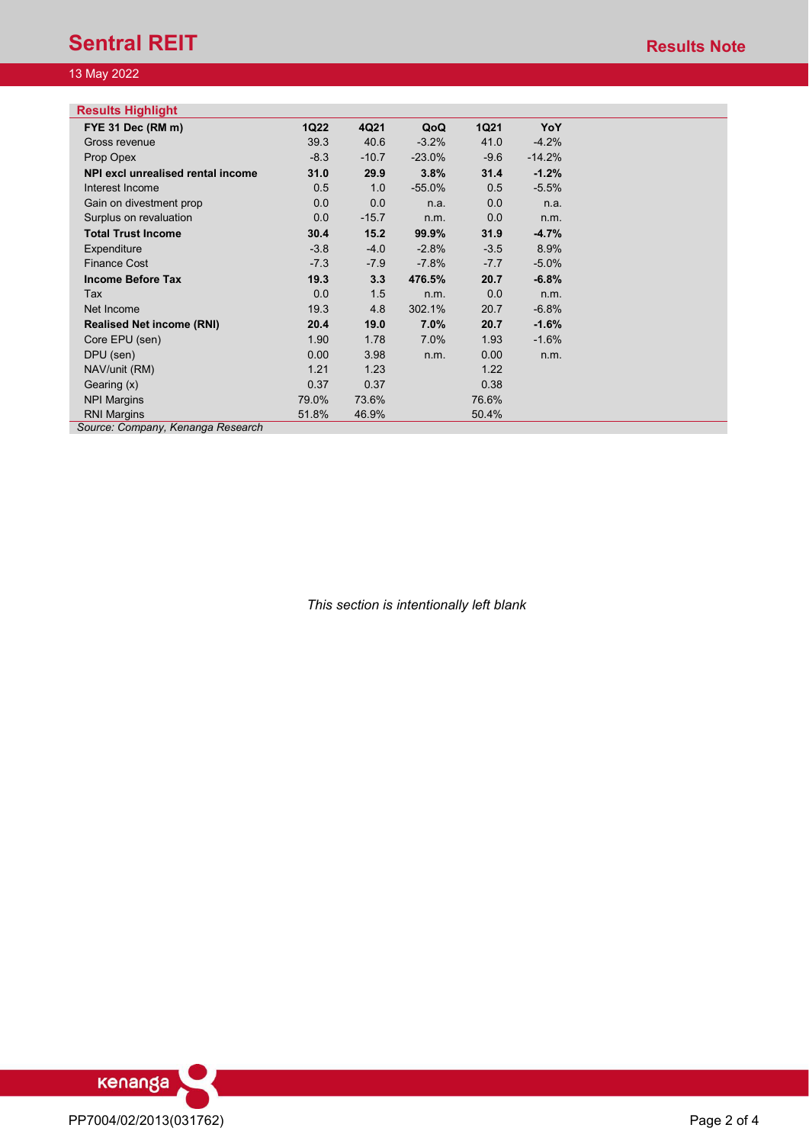## **Sentral REIT Results Note Results Note**

## 13 May 2022

| <b>Results Highlight</b>                               |             |         |          |             |          |  |
|--------------------------------------------------------|-------------|---------|----------|-------------|----------|--|
| FYE 31 Dec (RM m)                                      | <b>1Q22</b> | 4Q21    | QoQ      | <b>1Q21</b> | YoY      |  |
| Gross revenue                                          | 39.3        | 40.6    | $-3.2%$  | 41.0        | $-4.2%$  |  |
| Prop Opex                                              | $-8.3$      | $-10.7$ | $-23.0%$ | $-9.6$      | $-14.2%$ |  |
| NPI excl unrealised rental income                      | 31.0        | 29.9    | 3.8%     | 31.4        | $-1.2%$  |  |
| Interest Income                                        | 0.5         | 1.0     | $-55.0%$ | 0.5         | $-5.5%$  |  |
| Gain on divestment prop                                | 0.0         | 0.0     | n.a.     | 0.0         | n.a.     |  |
| Surplus on revaluation                                 | 0.0         | $-15.7$ | n.m.     | 0.0         | n.m.     |  |
| <b>Total Trust Income</b>                              | 30.4        | 15.2    | 99.9%    | 31.9        | $-4.7%$  |  |
| Expenditure                                            | $-3.8$      | $-4.0$  | $-2.8%$  | $-3.5$      | 8.9%     |  |
| <b>Finance Cost</b>                                    | $-7.3$      | $-7.9$  | $-7.8%$  | $-7.7$      | $-5.0%$  |  |
| <b>Income Before Tax</b>                               | 19.3        | 3.3     | 476.5%   | 20.7        | $-6.8%$  |  |
| Tax                                                    | 0.0         | 1.5     | n.m.     | 0.0         | n.m.     |  |
| Net Income                                             | 19.3        | 4.8     | 302.1%   | 20.7        | $-6.8%$  |  |
| <b>Realised Net income (RNI)</b>                       | 20.4        | 19.0    | 7.0%     | 20.7        | $-1.6%$  |  |
| Core EPU (sen)                                         | 1.90        | 1.78    | 7.0%     | 1.93        | $-1.6%$  |  |
| DPU (sen)                                              | 0.00        | 3.98    | n.m.     | 0.00        | n.m.     |  |
| NAV/unit (RM)                                          | 1.21        | 1.23    |          | 1.22        |          |  |
| Gearing (x)                                            | 0.37        | 0.37    |          | 0.38        |          |  |
| <b>NPI Margins</b>                                     | 79.0%       | 73.6%   |          | 76.6%       |          |  |
| <b>RNI Margins</b><br>Source: Company Kenanga Pesearch | 51.8%       | 46.9%   |          | 50.4%       |          |  |

*Source: Company, Kenanga Research*

*This section is intentionally left blank*

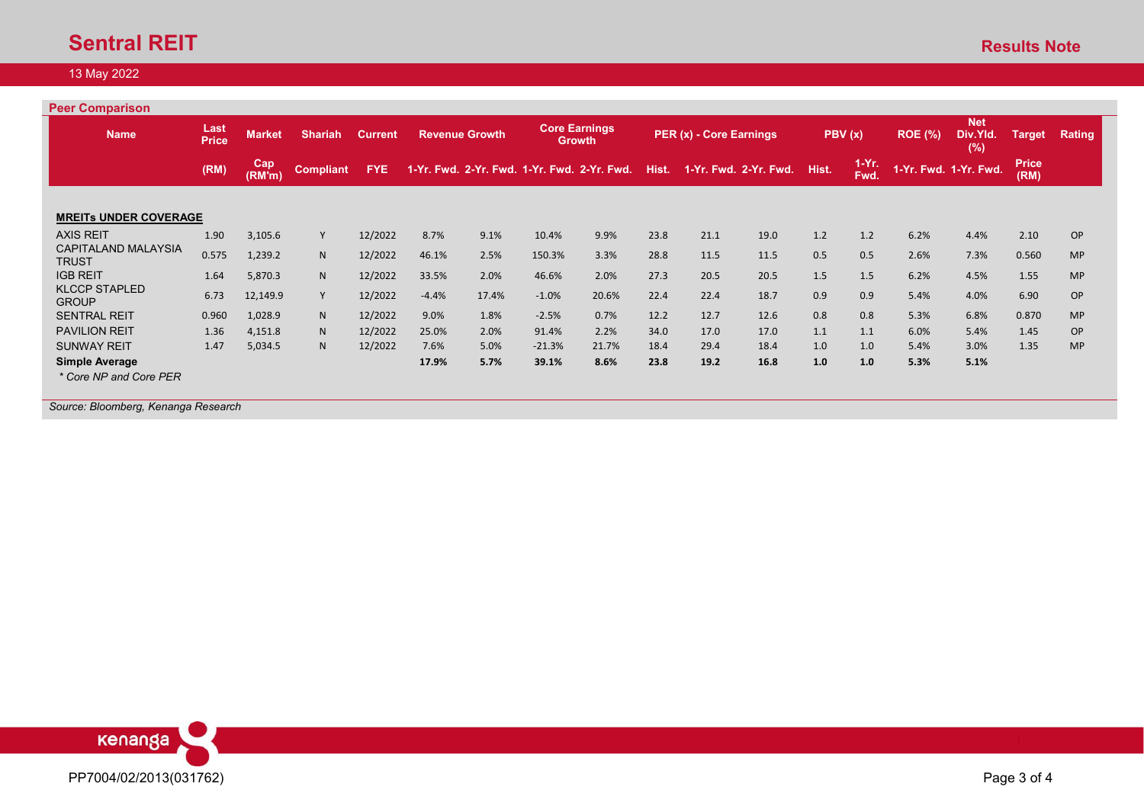## **Sentral REIT** Results Note

## 13 May 2022

| Last<br><b>Price</b>         | <b>Market</b> | <b>Shariah</b>   | <b>Current</b> |         | <b>Revenue Growth</b> |          | <b>Core Earnings</b> |                                                              | PER (x) - Core Earnings |      | PBV (x) |                       | ROE (%) | <b>Net</b><br>Div.Yld.<br>(%) | Target                | Rating    |
|------------------------------|---------------|------------------|----------------|---------|-----------------------|----------|----------------------|--------------------------------------------------------------|-------------------------|------|---------|-----------------------|---------|-------------------------------|-----------------------|-----------|
| (RM)                         | Cap<br>(RM'm) | <b>Compliant</b> | <b>FYE</b>     |         |                       |          |                      | Hist.                                                        |                         |      | Hist.   | $1-Yr.$<br>Fwd.       |         |                               | <b>Price</b><br>(RM)  |           |
| <b>MREITS UNDER COVERAGE</b> |               |                  |                |         |                       |          |                      |                                                              |                         |      |         |                       |         |                               |                       |           |
| 1.90                         | 3,105.6       | Y                | 12/2022        | 8.7%    | 9.1%                  | 10.4%    | 9.9%                 | 23.8                                                         | 21.1                    | 19.0 | 1.2     | 1.2                   | 6.2%    | 4.4%                          | 2.10                  | OP        |
| 0.575                        | 1,239.2       | N                | 12/2022        | 46.1%   | 2.5%                  | 150.3%   | 3.3%                 | 28.8                                                         | 11.5                    | 11.5 | 0.5     | 0.5                   | 2.6%    | 7.3%                          | 0.560                 | <b>MP</b> |
| 1.64                         | 5,870.3       | N                | 12/2022        | 33.5%   | 2.0%                  | 46.6%    | 2.0%                 | 27.3                                                         | 20.5                    | 20.5 | 1.5     | 1.5                   | 6.2%    | 4.5%                          | 1.55                  | <b>MP</b> |
| 6.73                         | 12,149.9      | Y                | 12/2022        | $-4.4%$ | 17.4%                 | $-1.0%$  | 20.6%                | 22.4                                                         | 22.4                    | 18.7 | 0.9     | 0.9                   | 5.4%    | 4.0%                          | 6.90                  | OP        |
| 0.960                        | 1,028.9       | N                | 12/2022        | 9.0%    | 1.8%                  | $-2.5%$  | 0.7%                 | 12.2                                                         | 12.7                    | 12.6 | 0.8     | 0.8                   | 5.3%    | 6.8%                          | 0.870                 | <b>MP</b> |
| 1.36                         | 4,151.8       | N.               | 12/2022        | 25.0%   | 2.0%                  | 91.4%    | 2.2%                 | 34.0                                                         | 17.0                    | 17.0 | 1.1     | 1.1                   | 6.0%    | 5.4%                          | 1.45                  | <b>OP</b> |
| 1.47                         | 5,034.5       | N                | 12/2022        | 7.6%    | 5.0%                  | $-21.3%$ | 21.7%                | 18.4                                                         | 29.4                    | 18.4 | 1.0     | 1.0                   | 5.4%    | 3.0%                          | 1.35                  | <b>MP</b> |
|                              |               |                  |                | 17.9%   | 5.7%                  | 39.1%    | 8.6%                 | 23.8                                                         | 19.2                    | 16.8 | 1.0     | 1.0                   | 5.3%    | 5.1%                          |                       |           |
|                              |               |                  |                |         |                       |          |                      | <b>Growth</b><br>1-Yr. Fwd. 2-Yr. Fwd. 1-Yr. Fwd. 2-Yr. Fwd. |                         |      |         | 1-Yr. Fwd. 2-Yr. Fwd. |         |                               | 1-Yr. Fwd. 1-Yr. Fwd. |           |